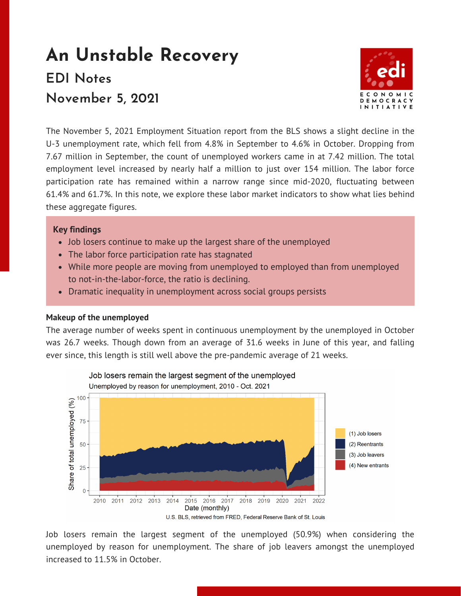# **An Unstable Recovery EDI Notes November 5, 2021**



The November 5, 2021 [Employment](https://www.bls.gov/news.release/empsit.toc.htm) Situation report from the BLS shows a slight decline in the U-3 unemployment rate, which fell from 4.8% in September to 4.6% in October. Dropping from 7.67 million in September, the count of unemployed workers came in at 7.42 million. The total employment level increased by nearly half a million to just over 154 million. The labor force participation rate has remained within a narrow range since mid-2020, fluctuating between 61.4% and 61.7%. In this note, we explore these labor market indicators to show what lies behind these aggregate figures.

# **Key findings**

- Job losers continue to make up the largest share of the unemployed
- The labor force participation rate has stagnated
- While more people are moving from unemployed to employed than from unemployed to not-in-the-labor-force, the ratio is declining.
- Dramatic inequality in unemployment across social groups persists

### **Makeup of the unemployed**

The average number of weeks spent in continuous unemployment by the unemployed in October was 26.7 weeks. Though down from an average of 31.6 weeks in June of this year, and falling ever since, this length is still well above the pre-pandemic average of 21 weeks.



Job losers remain the largest segment of the unemployed (50.9%) when considering the unemployed by reason for unemployment. The share of job leavers amongst the unemployed increased to 11.5% in October.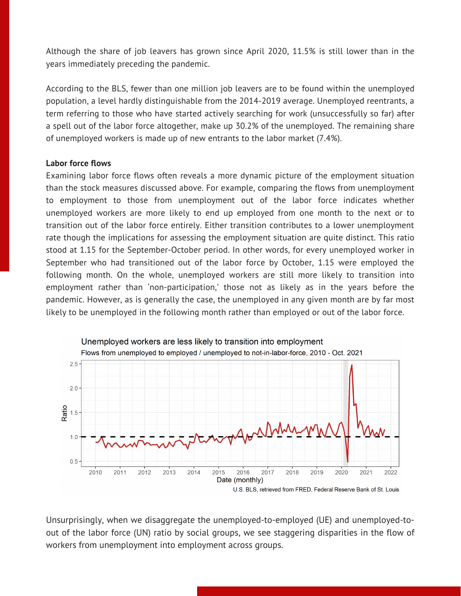Although the share of job leavers has grown since April 2020, 11.5% is still lower than in the years immediately preceding the pandemic.

According to the BLS, fewer than one million job leavers are to be found within the unemployed population, a level hardly distinguishable from the 2014-2019 average. Unemployed reentrants, a term referring to those who have started actively searching for work (unsuccessfully so far) after a spell out of the labor force altogether, make up 30.2% of the unemployed. The remaining share of unemployed workers is made up of new entrants to the labor market (7.4%).

#### **Labor force flows**

Examining labor force flows often reveals a more dynamic picture of the employment situation than the stock measures discussed above. For example, comparing the flows from unemployment to employment to those from unemployment out of the labor force indicates whether unemployed workers are more likely to end up employed from one month to the next or to transition out of the labor force entirely. Either transition contributes to a lower unemployment rate though the implications for assessing the employment situation are quite distinct. This ratio stood at 1.15 for the September-October period. In other words, for every unemployed worker in September who had transitioned out of the labor force by October, 1.15 were employed the following month. On the whole, unemployed workers are still more likely to transition into employment rather than 'non-participation,' those not as likely as in the years before the pandemic. However, as is generally the case, the unemployed in any given month are by far most likely to be unemployed in the following month rather than employed or out of the labor force.



Unsurprisingly, when we disaggregate the unemployed-to-employed (UE) and unemployed-toout of the labor force (UN) ratio by social groups, we see staggering disparities in the flow of workers from unemployment into employment across groups.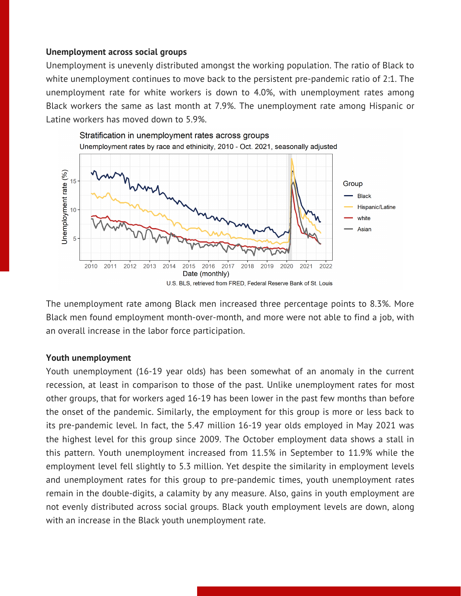### **Unemployment across social groups**

Unemployment is unevenly distributed amongst the working population. The ratio of Black to white unemployment continues to move back to the persistent pre-pandemic ratio of 2:1. The unemployment rate for white workers is down to 4.0%, with unemployment rates among Black workers the same as last month at 7.9%. The unemployment rate among Hispanic or Latine workers has moved down to 5.9%.



The unemployment rate among Black men increased three percentage points to 8.3%. More Black men found employment month-over-month, and more were not able to find a job, with an overall increase in the labor force participation.

### **Youth unemployment**

Youth unemployment (16-19 year olds) has been somewhat of an anomaly in the current recession, at least in comparison to those of the past. Unlike unemployment rates for most other groups, that for workers aged 16-19 has been lower in the past few months than before the onset of the pandemic. Similarly, the employment for this group is more or less back to its pre-pandemic level. In fact, the 5.47 million 16-19 year olds employed in May 2021 was the highest level for this group since 2009. The October employment data shows a stall in this pattern. Youth unemployment increased from 11.5% in September to 11.9% while the employment level fell slightly to 5.3 million. Yet despite the similarity in employment levels and unemployment rates for this group to pre-pandemic times, youth unemployment rates remain in the double-digits, a calamity by any measure. Also, gains in youth employment are not evenly distributed across social groups. Black youth employment levels are down, along with an increase in the Black youth unemployment rate.